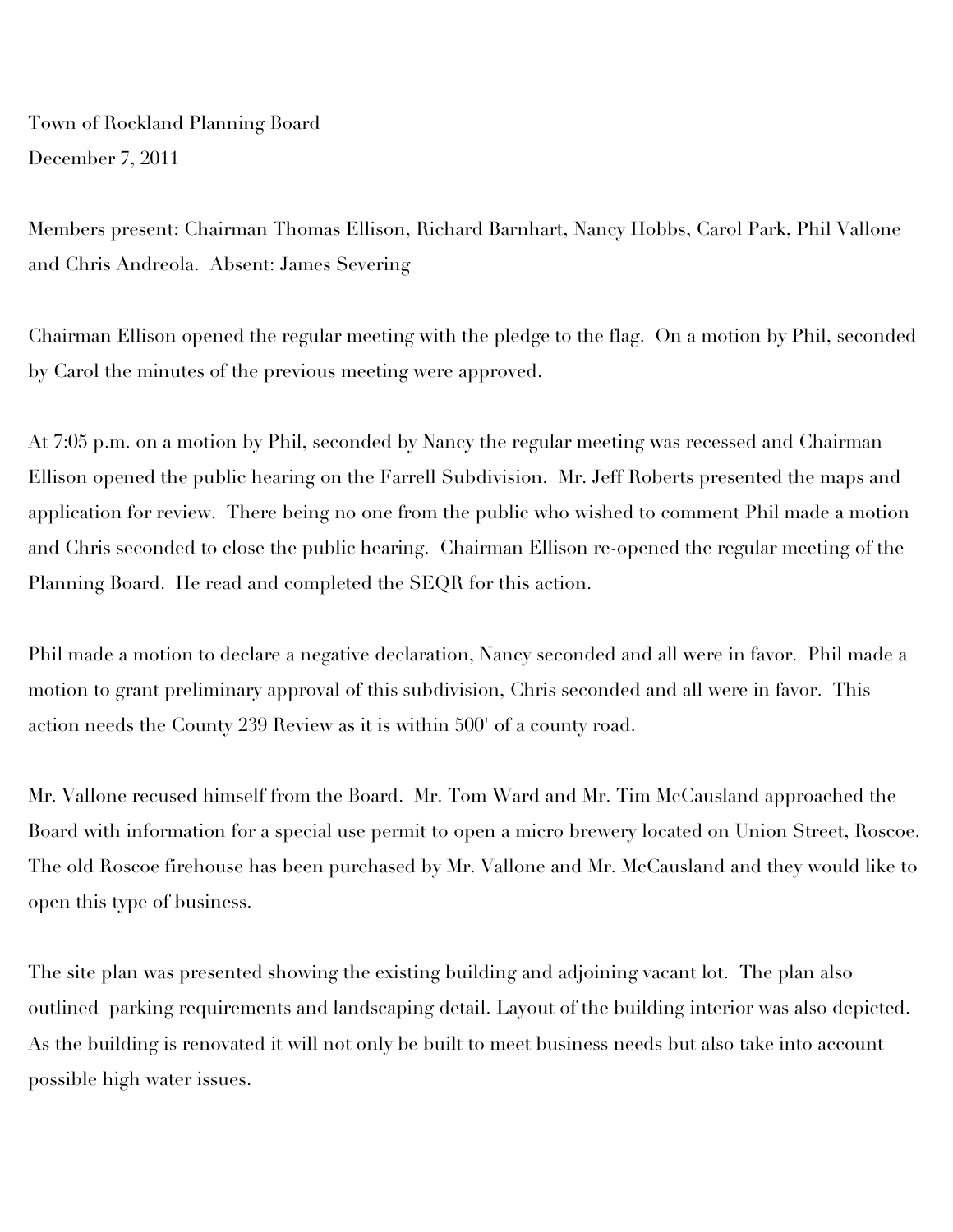Town of Rockland Planning Board December 7, 2011

Members present: Chairman Thomas Ellison, Richard Barnhart, Nancy Hobbs, Carol Park, Phil Vallone and Chris Andreola. Absent: James Severing

Chairman Ellison opened the regular meeting with the pledge to the flag. On a motion by Phil, seconded by Carol the minutes of the previous meeting were approved.

At 7:05 p.m. on a motion by Phil, seconded by Nancy the regular meeting was recessed and Chairman Ellison opened the public hearing on the Farrell Subdivision. Mr. Jeff Roberts presented the maps and application for review. There being no one from the public who wished to comment Phil made a motion and Chris seconded to close the public hearing. Chairman Ellison re-opened the regular meeting of the Planning Board. He read and completed the SEQR for this action.

Phil made a motion to declare a negative declaration, Nancy seconded and all were in favor. Phil made a motion to grant preliminary approval of this subdivision, Chris seconded and all were in favor. This action needs the County 239 Review as it is within 500' of a county road.

Mr. Vallone recused himself from the Board. Mr. Tom Ward and Mr. Tim McCausland approached the Board with information for a special use permit to open a micro brewery located on Union Street, Roscoe. The old Roscoe firehouse has been purchased by Mr. Vallone and Mr. McCausland and they would like to open this type of business.

The site plan was presented showing the existing building and adjoining vacant lot. The plan also outlined parking requirements and landscaping detail. Layout of the building interior was also depicted. As the building is renovated it will not only be built to meet business needs but also take into account possible high water issues.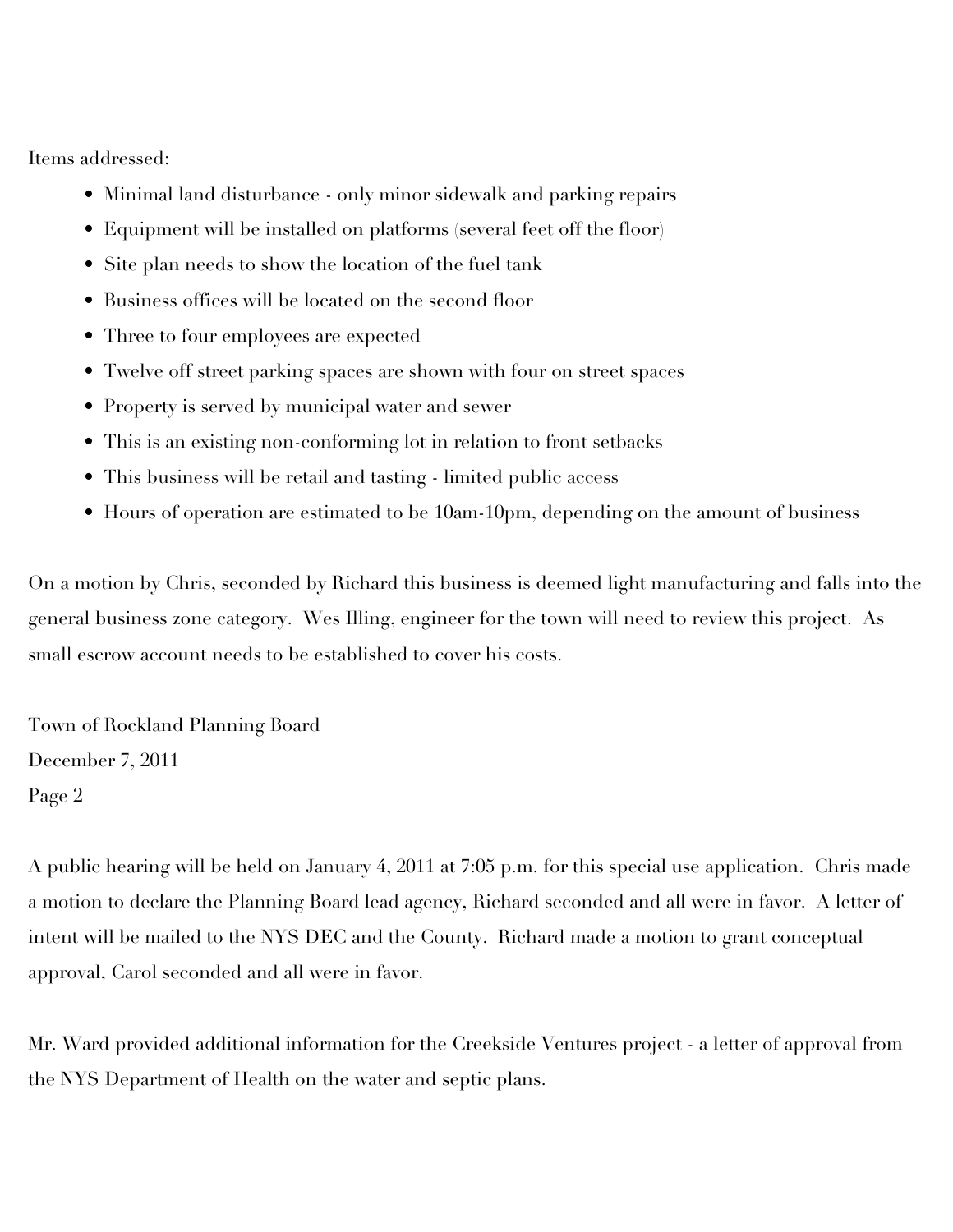Items addressed:

- Minimal land disturbance only minor sidewalk and parking repairs
- Equipment will be installed on platforms (several feet off the floor)
- Site plan needs to show the location of the fuel tank
- Business offices will be located on the second floor
- Three to four employees are expected
- Twelve off street parking spaces are shown with four on street spaces
- Property is served by municipal water and sewer
- This is an existing non-conforming lot in relation to front setbacks
- This business will be retail and tasting limited public access
- Hours of operation are estimated to be 10am-10pm, depending on the amount of business

On a motion by Chris, seconded by Richard this business is deemed light manufacturing and falls into the general business zone category. Wes Illing, engineer for the town will need to review this project. As small escrow account needs to be established to cover his costs.

Town of Rockland Planning Board December 7, 2011 Page 2

A public hearing will be held on January 4, 2011 at 7:05 p.m. for this special use application. Chris made a motion to declare the Planning Board lead agency, Richard seconded and all were in favor. A letter of intent will be mailed to the NYS DEC and the County. Richard made a motion to grant conceptual approval, Carol seconded and all were in favor.

Mr. Ward provided additional information for the Creekside Ventures project - a letter of approval from the NYS Department of Health on the water and septic plans.